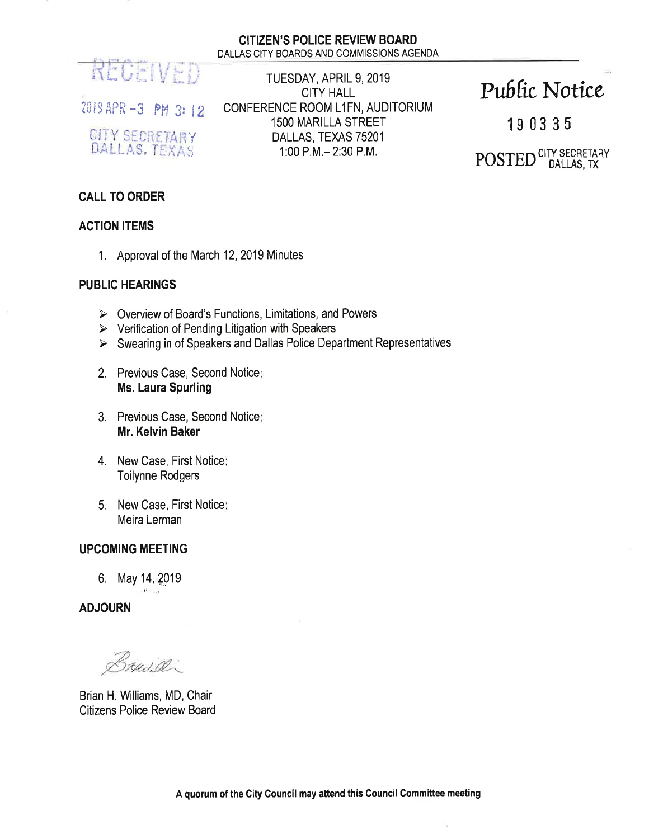

2019 APR -3 PM 3: 12

CITY SECRETARY DALLAS, TEXAS

TUESDAY, APRIL 9, 2019 **CITY HALL** CONFERENCE ROOM L1FN, AUDITORIUM **1500 MARILLA STREET** DALLAS, TEXAS 75201 1:00 P.M. - 2:30 P.M.

# Public Notice

190335

POSTED CITY SECRETARY

# **CALL TO ORDER**

#### **ACTION ITEMS**

1. Approval of the March 12, 2019 Minutes

### **PUBLIC HEARINGS**

- $\triangleright$  Overview of Board's Functions, Limitations, and Powers
- $\triangleright$  Verification of Pending Litigation with Speakers
- $\triangleright$  Swearing in of Speakers and Dallas Police Department Representatives
- 2. Previous Case, Second Notice: **Ms. Laura Spurling**
- 3. Previous Case, Second Notice: Mr. Kelvin Baker
- 4. New Case, First Notice: **Toilynne Rodgers**
- 5. New Case, First Notice: Meira Lerman

# **UPCOMING MEETING**

6. May 14, 2019 int≐ nati

**ADJOURN** 

Bruid.

Brian H. Williams, MD, Chair **Citizens Police Review Board** 

V.